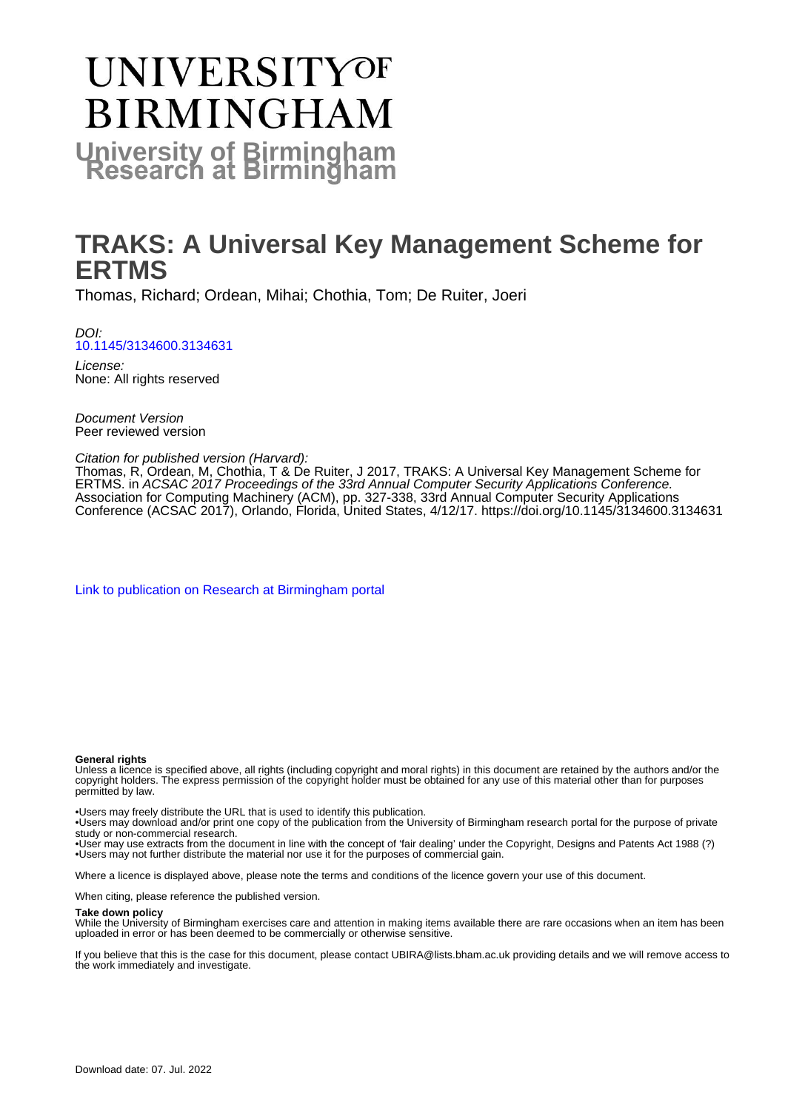# **UNIVERSITYOF BIRMINGHAM University of Birmingham**

## **TRAKS: A Universal Key Management Scheme for ERTMS**

Thomas, Richard; Ordean, Mihai; Chothia, Tom; De Ruiter, Joeri

DOI: [10.1145/3134600.3134631](https://doi.org/10.1145/3134600.3134631)

License: None: All rights reserved

Document Version Peer reviewed version

Citation for published version (Harvard):

Thomas, R, Ordean, M, Chothia, T & De Ruiter, J 2017, TRAKS: A Universal Key Management Scheme for ERTMS. in ACSAC 2017 Proceedings of the 33rd Annual Computer Security Applications Conference. Association for Computing Machinery (ACM), pp. 327-338, 33rd Annual Computer Security Applications Conference (ACSAC 2017), Orlando, Florida, United States, 4/12/17. <https://doi.org/10.1145/3134600.3134631>

[Link to publication on Research at Birmingham portal](https://birmingham.elsevierpure.com/en/publications/92094d01-993f-40c0-9100-d34a9a0cd999)

#### **General rights**

Unless a licence is specified above, all rights (including copyright and moral rights) in this document are retained by the authors and/or the copyright holders. The express permission of the copyright holder must be obtained for any use of this material other than for purposes permitted by law.

• Users may freely distribute the URL that is used to identify this publication.

• Users may download and/or print one copy of the publication from the University of Birmingham research portal for the purpose of private study or non-commercial research.

• User may use extracts from the document in line with the concept of 'fair dealing' under the Copyright, Designs and Patents Act 1988 (?) • Users may not further distribute the material nor use it for the purposes of commercial gain.

Where a licence is displayed above, please note the terms and conditions of the licence govern your use of this document.

When citing, please reference the published version.

#### **Take down policy**

While the University of Birmingham exercises care and attention in making items available there are rare occasions when an item has been uploaded in error or has been deemed to be commercially or otherwise sensitive.

If you believe that this is the case for this document, please contact UBIRA@lists.bham.ac.uk providing details and we will remove access to the work immediately and investigate.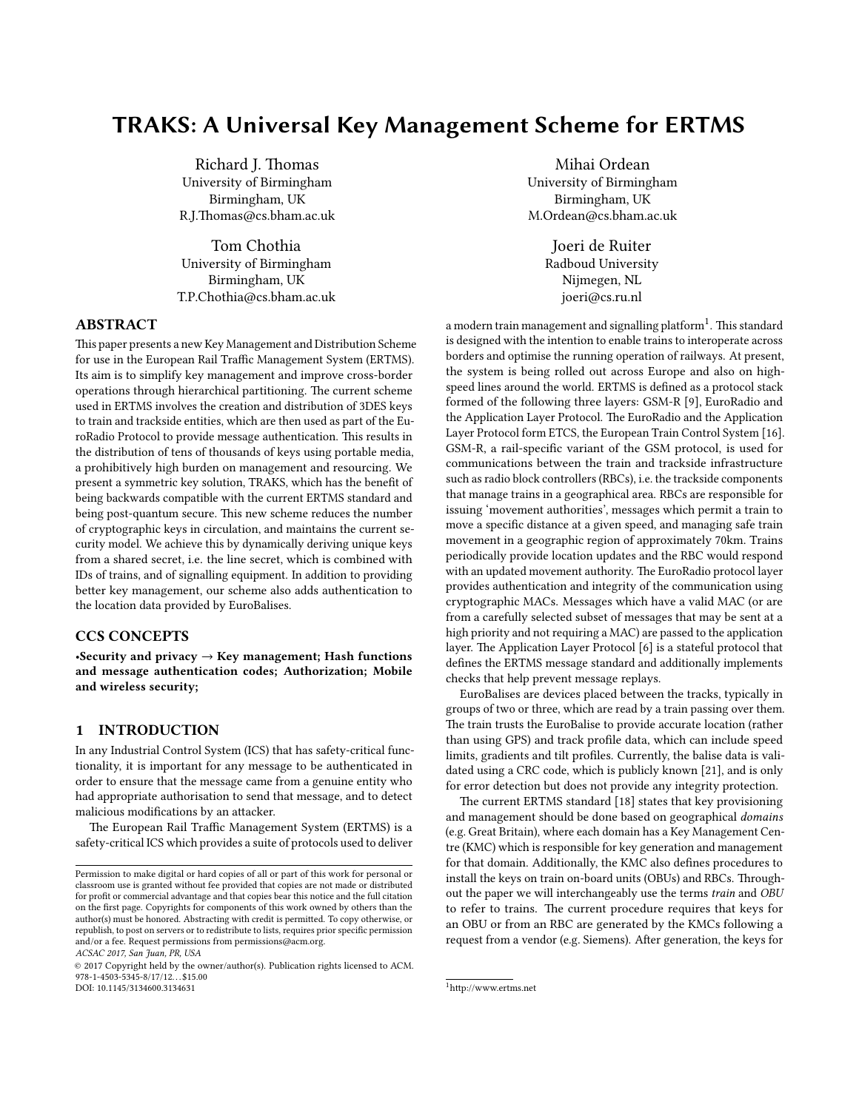### TRAKS: A Universal Key Management Scheme for ERTMS

Richard J. Thomas University of Birmingham Birmingham, UK R.J.Thomas@cs.bham.ac.uk

Tom Chothia University of Birmingham Birmingham, UK T.P.Chothia@cs.bham.ac.uk

#### ABSTRACT

This paper presents a new Key Management and Distribution Scheme for use in the European Rail Traffic Management System (ERTMS). Its aim is to simplify key management and improve cross-border operations through hierarchical partitioning. The current scheme used in ERTMS involves the creation and distribution of 3DES keys to train and trackside entities, which are then used as part of the EuroRadio Protocol to provide message authentication. This results in the distribution of tens of thousands of keys using portable media, a prohibitively high burden on management and resourcing. We present a symmetric key solution, TRAKS, which has the benefit of being backwards compatible with the current ERTMS standard and being post-quantum secure. This new scheme reduces the number of cryptographic keys in circulation, and maintains the current security model. We achieve this by dynamically deriving unique keys from a shared secret, i.e. the line secret, which is combined with IDs of trains, and of signalling equipment. In addition to providing better key management, our scheme also adds authentication to the location data provided by EuroBalises.

#### CCS CONCEPTS

•Security and privacy  $\rightarrow$  Key management; Hash functions and message authentication codes; Authorization; Mobile and wireless security;

#### 1 INTRODUCTION

In any Industrial Control System (ICS) that has safety-critical functionality, it is important for any message to be authenticated in order to ensure that the message came from a genuine entity who had appropriate authorisation to send that message, and to detect malicious modifications by an attacker.

The European Rail Traffic Management System (ERTMS) is a safety-critical ICS which provides a suite of protocols used to deliver

ACSAC 2017, San Juan, PR, USA

© 2017 Copyright held by the owner/author(s). Publication rights licensed to ACM.  $978 - 1 - 4503 - 5345 - 8/17/12$ . . \$15.00 DOI: 10.1145/3134600.3134631

Mihai Ordean University of Birmingham Birmingham, UK M.Ordean@cs.bham.ac.uk

> Joeri de Ruiter Radboud University Nijmegen, NL joeri@cs.ru.nl

a modern train management and signalling platform $^1$  $^1$ . This standard is designed with the intention to enable trains to interoperate across borders and optimise the running operation of railways. At present, the system is being rolled out across Europe and also on highspeed lines around the world. ERTMS is defined as a protocol stack formed of the following three layers: GSM-R [\[9\]](#page-12-0), EuroRadio and the Application Layer Protocol. The EuroRadio and the Application Layer Protocol form ETCS, the European Train Control System [\[16\]](#page-12-1). GSM-R, a rail-specific variant of the GSM protocol, is used for communications between the train and trackside infrastructure such as radio block controllers (RBCs), i.e. the trackside components that manage trains in a geographical area. RBCs are responsible for issuing 'movement authorities', messages which permit a train to move a specific distance at a given speed, and managing safe train movement in a geographic region of approximately 70km. Trains periodically provide location updates and the RBC would respond with an updated movement authority. The EuroRadio protocol layer provides authentication and integrity of the communication using cryptographic MACs. Messages which have a valid MAC (or are from a carefully selected subset of messages that may be sent at a high priority and not requiring a MAC) are passed to the application layer. The Application Layer Protocol [\[6\]](#page-12-2) is a stateful protocol that defines the ERTMS message standard and additionally implements checks that help prevent message replays.

EuroBalises are devices placed between the tracks, typically in groups of two or three, which are read by a train passing over them. The train trusts the EuroBalise to provide accurate location (rather than using GPS) and track profile data, which can include speed limits, gradients and tilt profiles. Currently, the balise data is validated using a CRC code, which is publicly known [\[21\]](#page-12-3), and is only for error detection but does not provide any integrity protection.

The current ERTMS standard [\[18\]](#page-12-4) states that key provisioning and management should be done based on geographical domains (e.g. Great Britain), where each domain has a Key Management Centre (KMC) which is responsible for key generation and management for that domain. Additionally, the KMC also defines procedures to install the keys on train on-board units (OBUs) and RBCs. Throughout the paper we will interchangeably use the terms train and OBU to refer to trains. The current procedure requires that keys for an OBU or from an RBC are generated by the KMCs following a request from a vendor (e.g. Siemens). After generation, the keys for

Permission to make digital or hard copies of all or part of this work for personal or classroom use is granted without fee provided that copies are not made or distributed for profit or commercial advantage and that copies bear this notice and the full citation on the first page. Copyrights for components of this work owned by others than the  $\,$ author(s) must be honored. Abstracting with credit is permitted. To copy otherwise, or republish, to post on servers or to redistribute to lists, requires prior specific permission and/or a fee. Request permissions from permissions@acm.org.

<span id="page-1-0"></span><sup>1</sup>[hp://www.ertms.net](http://www.ertms.net)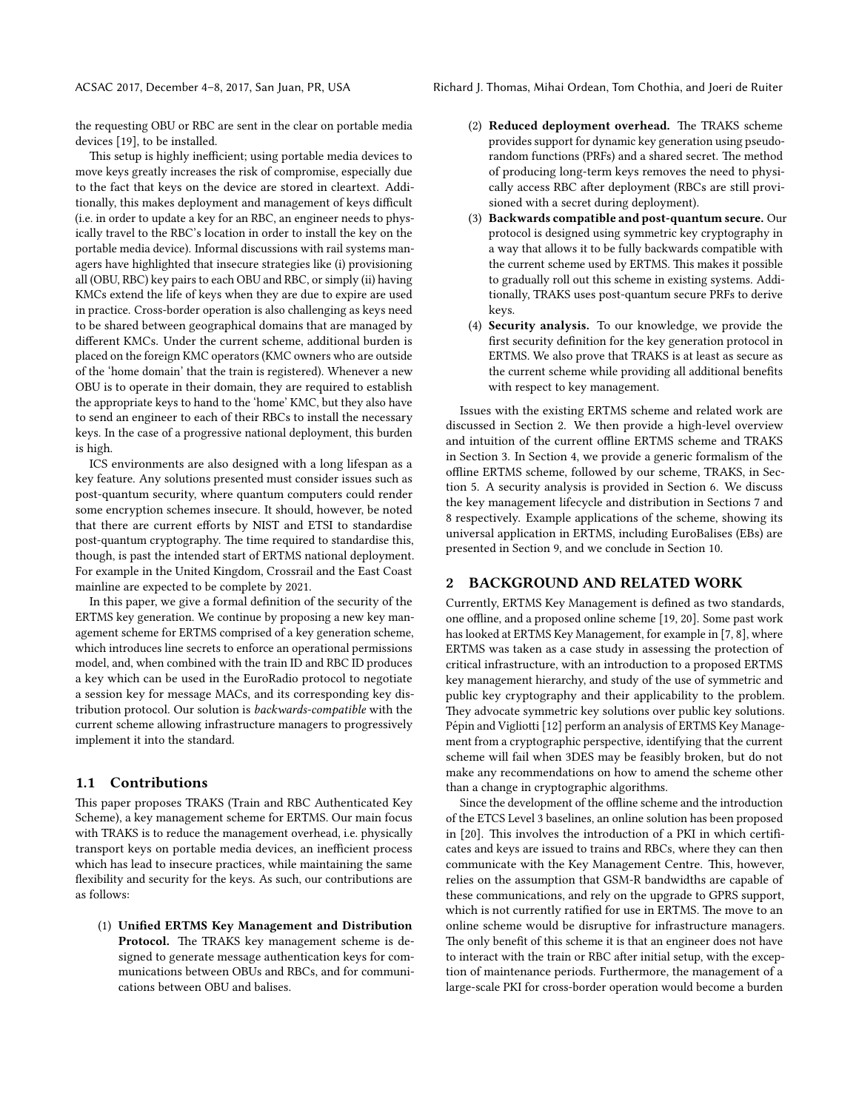ACSAC 2017, December 4–8, 2017, San Juan, PR, USA Richard J. Thomas, Mihai Ordean, Tom Chothia, and Joeri de Ruiter

the requesting OBU or RBC are sent in the clear on portable media devices [\[19\]](#page-12-5), to be installed.

This setup is highly inefficient; using portable media devices to move keys greatly increases the risk of compromise, especially due to the fact that keys on the device are stored in cleartext. Additionally, this makes deployment and management of keys difficult (i.e. in order to update a key for an RBC, an engineer needs to physically travel to the RBC's location in order to install the key on the portable media device). Informal discussions with rail systems managers have highlighted that insecure strategies like (i) provisioning all (OBU, RBC) key pairs to each OBU and RBC, or simply (ii) having KMCs extend the life of keys when they are due to expire are used in practice. Cross-border operation is also challenging as keys need to be shared between geographical domains that are managed by different KMCs. Under the current scheme, additional burden is placed on the foreign KMC operators (KMC owners who are outside of the 'home domain' that the train is registered). Whenever a new OBU is to operate in their domain, they are required to establish the appropriate keys to hand to the 'home' KMC, but they also have to send an engineer to each of their RBCs to install the necessary keys. In the case of a progressive national deployment, this burden is high.

ICS environments are also designed with a long lifespan as a key feature. Any solutions presented must consider issues such as post-quantum security, where quantum computers could render some encryption schemes insecure. It should, however, be noted that there are current efforts by NIST and ETSI to standardise post-quantum cryptography. The time required to standardise this, though, is past the intended start of ERTMS national deployment. For example in the United Kingdom, Crossrail and the East Coast mainline are expected to be complete by 2021.

In this paper, we give a formal definition of the security of the ERTMS key generation. We continue by proposing a new key management scheme for ERTMS comprised of a key generation scheme, which introduces line secrets to enforce an operational permissions model, and, when combined with the train ID and RBC ID produces a key which can be used in the EuroRadio protocol to negotiate a session key for message MACs, and its corresponding key distribution protocol. Our solution is backwards-compatible with the current scheme allowing infrastructure managers to progressively implement it into the standard.

#### 1.1 Contributions

This paper proposes TRAKS (Train and RBC Authenticated Key Scheme), a key management scheme for ERTMS. Our main focus with TRAKS is to reduce the management overhead, i.e. physically transport keys on portable media devices, an inefficient process which has lead to insecure practices, while maintaining the same flexibility and security for the keys. As such, our contributions are as follows:

(1) Unified ERTMS Key Management and Distribution Protocol. The TRAKS key management scheme is designed to generate message authentication keys for communications between OBUs and RBCs, and for communications between OBU and balises.

- $(2)$  Reduced deployment overhead. The TRAKS scheme provides support for dynamic key generation using pseudorandom functions (PRFs) and a shared secret. The method of producing long-term keys removes the need to physically access RBC after deployment (RBCs are still provisioned with a secret during deployment).
- (3) Backwards compatible and post-quantum secure. Our protocol is designed using symmetric key cryptography in a way that allows it to be fully backwards compatible with the current scheme used by ERTMS. This makes it possible to gradually roll out this scheme in existing systems. Additionally, TRAKS uses post-quantum secure PRFs to derive keys.
- (4) Security analysis. To our knowledge, we provide the first security definition for the key generation protocol in ERTMS. We also prove that TRAKS is at least as secure as the current scheme while providing all additional benefits with respect to key management.

Issues with the existing ERTMS scheme and related work are discussed in Section [2.](#page-2-0) We then provide a high-level overview and intuition of the current offline ERTMS scheme and TRAKS in Section [3.](#page-3-0) In Section [4,](#page-5-0) we provide a generic formalism of the offline ERTMS scheme, followed by our scheme, TRAKS, in Section [5.](#page-5-1) A security analysis is provided in Section [6.](#page-7-0) We discuss the key management lifecycle and distribution in Sections [7](#page-8-0) and [8](#page-9-0) respectively. Example applications of the scheme, showing its universal application in ERTMS, including EuroBalises (EBs) are presented in Section [9,](#page-10-0) and we conclude in Section [10.](#page-11-0)

#### <span id="page-2-0"></span>2 BACKGROUND AND RELATED WORK

Currently, ERTMS Key Management is defined as two standards, one offline, and a proposed online scheme [\[19,](#page-12-5) [20\]](#page-12-6). Some past work has looked at ERTMS Key Management, for example in [\[7,](#page-12-7) [8\]](#page-12-8), where ERTMS was taken as a case study in assessing the protection of critical infrastructure, with an introduction to a proposed ERTMS key management hierarchy, and study of the use of symmetric and public key cryptography and their applicability to the problem. They advocate symmetric key solutions over public key solutions. Pépin and Vigliotti [[12\]](#page-12-9) perform an analysis of ERTMS Key Management from a cryptographic perspective, identifying that the current scheme will fail when 3DES may be feasibly broken, but do not make any recommendations on how to amend the scheme other than a change in cryptographic algorithms.

Since the development of the offline scheme and the introduction of the ETCS Level 3 baselines, an online solution has been proposed in [\[20\]](#page-12-6). This involves the introduction of a PKI in which certificates and keys are issued to trains and RBCs, where they can then communicate with the Key Management Centre. This, however, relies on the assumption that GSM-R bandwidths are capable of these communications, and rely on the upgrade to GPRS support, which is not currently ratified for use in ERTMS. The move to an online scheme would be disruptive for infrastructure managers. The only benefit of this scheme it is that an engineer does not have to interact with the train or RBC after initial setup, with the exception of maintenance periods. Furthermore, the management of a large-scale PKI for cross-border operation would become a burden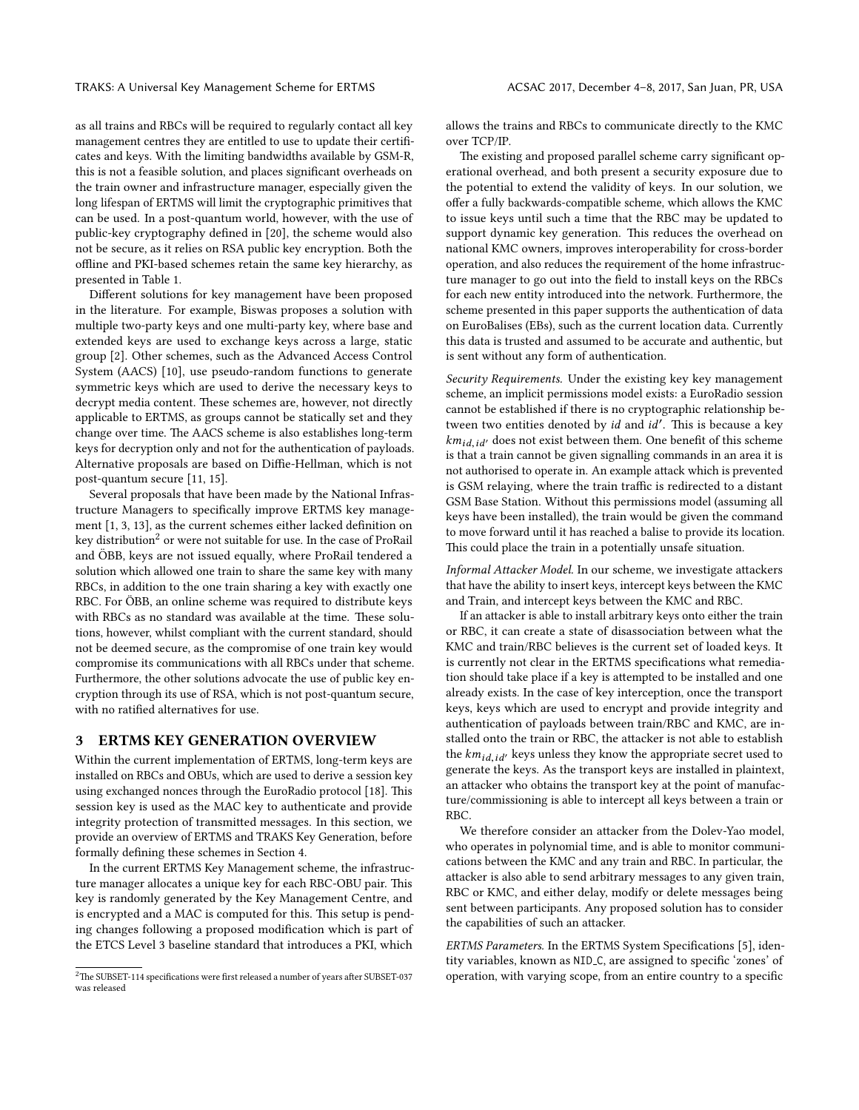as all trains and RBCs will be required to regularly contact all key management centres they are entitled to use to update their certificates and keys. With the limiting bandwidths available by GSM-R, this is not a feasible solution, and places significant overheads on the train owner and infrastructure manager, especially given the long lifespan of ERTMS will limit the cryptographic primitives that can be used. In a post-quantum world, however, with the use of public-key cryptography defined in [\[20\]](#page-12-6), the scheme would also not be secure, as it relies on RSA public key encryption. Both the offline and PKI-based schemes retain the same key hierarchy, as presented in Table [1.](#page-4-0)

Different solutions for key management have been proposed in the literature. For example, Biswas proposes a solution with multiple two-party keys and one multi-party key, where base and extended keys are used to exchange keys across a large, static group [\[2\]](#page-12-10). Other schemes, such as the Advanced Access Control System (AACS) [\[10\]](#page-12-11), use pseudo-random functions to generate symmetric keys which are used to derive the necessary keys to decrypt media content. These schemes are, however, not directly applicable to ERTMS, as groups cannot be statically set and they change over time. The AACS scheme is also establishes long-term keys for decryption only and not for the authentication of payloads. Alternative proposals are based on Diffie-Hellman, which is not post-quantum secure [\[11,](#page-12-12) [15\]](#page-12-13).

Several proposals that have been made by the National Infrastructure Managers to specifically improve ERTMS key management  $[1, 3, 13]$  $[1, 3, 13]$  $[1, 3, 13]$  $[1, 3, 13]$  $[1, 3, 13]$ , as the current schemes either lacked definition on key distribution<sup>[2](#page-3-1)</sup> or were not suitable for use. In the case of ProRail and ÖBB, keys are not issued equally, where ProRail tendered a solution which allowed one train to share the same key with many RBCs, in addition to the one train sharing a key with exactly one RBC. For ÖBB, an online scheme was required to distribute keys with RBCs as no standard was available at the time. These solutions, however, whilst compliant with the current standard, should not be deemed secure, as the compromise of one train key would compromise its communications with all RBCs under that scheme. Furthermore, the other solutions advocate the use of public key encryption through its use of RSA, which is not post-quantum secure, with no ratified alternatives for use.

#### <span id="page-3-0"></span>3 ERTMS KEY GENERATION OVERVIEW

Within the current implementation of ERTMS, long-term keys are installed on RBCs and OBUs, which are used to derive a session key using exchanged nonces through the EuroRadio protocol [\[18\]](#page-12-4). This session key is used as the MAC key to authenticate and provide integrity protection of transmitted messages. In this section, we provide an overview of ERTMS and TRAKS Key Generation, before formally defining these schemes in Section [4.](#page-5-0)

In the current ERTMS Key Management scheme, the infrastructure manager allocates a unique key for each RBC-OBU pair. This key is randomly generated by the Key Management Centre, and is encrypted and a MAC is computed for this. This setup is pending changes following a proposed modification which is part of the ETCS Level 3 baseline standard that introduces a PKI, which

allows the trains and RBCs to communicate directly to the KMC over TCP/IP.

The existing and proposed parallel scheme carry significant operational overhead, and both present a security exposure due to the potential to extend the validity of keys. In our solution, we offer a fully backwards-compatible scheme, which allows the KMC to issue keys until such a time that the RBC may be updated to support dynamic key generation. This reduces the overhead on national KMC owners, improves interoperability for cross-border operation, and also reduces the requirement of the home infrastructure manager to go out into the field to install keys on the RBCs for each new entity introduced into the network. Furthermore, the scheme presented in this paper supports the authentication of data on EuroBalises (EBs), such as the current location data. Currently this data is trusted and assumed to be accurate and authentic, but is sent without any form of authentication.

Security Requirements. Under the existing key key management scheme, an implicit permissions model exists: a EuroRadio session cannot be established if there is no cryptographic relationship between two entities denoted by  $id$  and  $id'$ . This is because a key  $km_{id.id'}$  does not exist between them. One benefit of this scheme is that a train cannot be given signalling commands in an area it is not authorised to operate in. An example attack which is prevented is GSM relaying, where the train traffic is redirected to a distant GSM Base Station. Without this permissions model (assuming all keys have been installed), the train would be given the command to move forward until it has reached a balise to provide its location. This could place the train in a potentially unsafe situation.

Informal Attacker Model. In our scheme, we investigate attackers that have the ability to insert keys, intercept keys between the KMC and Train, and intercept keys between the KMC and RBC.

If an attacker is able to install arbitrary keys onto either the train or RBC, it can create a state of disassociation between what the KMC and train/RBC believes is the current set of loaded keys. It is currently not clear in the ERTMS specifications what remediation should take place if a key is attempted to be installed and one already exists. In the case of key interception, once the transport keys, keys which are used to encrypt and provide integrity and authentication of payloads between train/RBC and KMC, are installed onto the train or RBC, the attacker is not able to establish the  $km_{id-id'}$  keys unless they know the appropriate secret used to generate the keys. As the transport keys are installed in plaintext, an attacker who obtains the transport key at the point of manufacture/commissioning is able to intercept all keys between a train or RBC.

We therefore consider an attacker from the Dolev-Yao model, who operates in polynomial time, and is able to monitor communications between the KMC and any train and RBC. In particular, the attacker is also able to send arbitrary messages to any given train, RBC or KMC, and either delay, modify or delete messages being sent between participants. Any proposed solution has to consider the capabilities of such an attacker.

ERTMS Parameters. In the ERTMS System Specifications [\[5\]](#page-12-17), identity variables, known as NID<sub>-C</sub>, are assigned to specific 'zones' of operation, with varying scope, from an entire country to a specific

<span id="page-3-1"></span> $2$ The SUBSET-114 specifications were first released a number of years after SUBSET-037 was released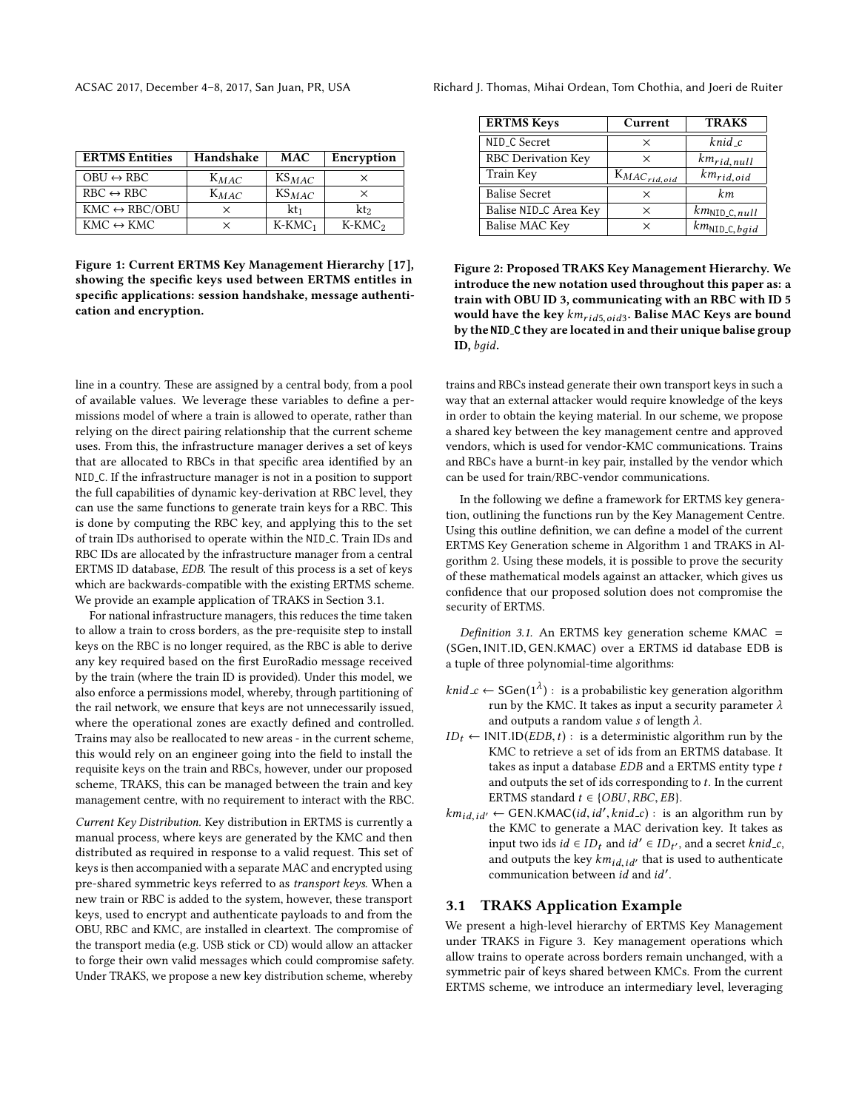<span id="page-4-0"></span>

| <b>ERTMS Entities</b>         | Handshake | <b>MAC</b>      | Encryption |
|-------------------------------|-----------|-----------------|------------|
| $OBU \leftrightarrow RBC$     | $K_{MAC}$ | $KS_{MAC}$      | ×          |
| $RBC \leftrightarrow RBC$     | $K_{MAC}$ | $KS_{MAC}$      | $\times$   |
| $KMC \leftrightarrow RBC/OBU$ | ×         | kt <sub>1</sub> | $\rm kt$   |
| $KMC \leftrightarrow KMC$     | $\times$  | $K-KMC1$        | $K-KMC2$   |

Figure 1: Current ERTMS Key Management Hierarchy [\[17\]](#page-12-18), showing the specific keys used between ERTMS entitles in specific applications: session handshake, message authentication and encryption.

line in a country. These are assigned by a central body, from a pool of available values. We leverage these variables to define a permissions model of where a train is allowed to operate, rather than relying on the direct pairing relationship that the current scheme uses. From this, the infrastructure manager derives a set of keys that are allocated to RBCs in that specific area identified by an NID C. If the infrastructure manager is not in a position to support the full capabilities of dynamic key-derivation at RBC level, they can use the same functions to generate train keys for a RBC. This is done by computing the RBC key, and applying this to the set of train IDs authorised to operate within the NID C. Train IDs and RBC IDs are allocated by the infrastructure manager from a central ERTMS ID database, EDB. The result of this process is a set of keys which are backwards-compatible with the existing ERTMS scheme. We provide an example application of TRAKS in Section [3.1.](#page-4-1)

For national infrastructure managers, this reduces the time taken to allow a train to cross borders, as the pre-requisite step to install keys on the RBC is no longer required, as the RBC is able to derive any key required based on the first EuroRadio message received by the train (where the train ID is provided). Under this model, we also enforce a permissions model, whereby, through partitioning of the rail network, we ensure that keys are not unnecessarily issued, where the operational zones are exactly defined and controlled. Trains may also be reallocated to new areas - in the current scheme, this would rely on an engineer going into the field to install the requisite keys on the train and RBCs, however, under our proposed scheme, TRAKS, this can be managed between the train and key management centre, with no requirement to interact with the RBC.

Current Key Distribution. Key distribution in ERTMS is currently a manual process, where keys are generated by the KMC and then distributed as required in response to a valid request. This set of keys is then accompanied with a separate MAC and encrypted using pre-shared symmetric keys referred to as transport keys. When a new train or RBC is added to the system, however, these transport keys, used to encrypt and authenticate payloads to and from the OBU, RBC and KMC, are installed in cleartext. The compromise of the transport media (e.g. USB stick or CD) would allow an attacker to forge their own valid messages which could compromise safety. Under TRAKS, we propose a new key distribution scheme, whereby

| <b>ERTMS Keys</b>     | Current             | <b>TRAKS</b>                              |
|-----------------------|---------------------|-------------------------------------------|
| NID_C Secret          | X                   | $k$ nid_c                                 |
| RBC Derivation Key    | ×                   | $km_{rid, null}$                          |
| Train Key             | $K_{MAC_{rid,oid}}$ | $km_{rid,oid}$                            |
| <b>Balise Secret</b>  | ×                   | km                                        |
| Balise NID_C Area Key | X                   | $km_{\text{NID} \text{-} \text{C}, null}$ |
| Balise MAC Key        | X                   | $km$ <sub>NID_C, bgid</sub>               |

Figure 2: Proposed TRAKS Key Management Hierarchy. We introduce the new notation used throughout this paper as: a train with OBU ID 3, communicating with an RBC with ID 5 would have the key  $km_{rid5,oid3}$ . Balise MAC Keys are bound by the NID C they are located in and their unique balise group ID, bдid.

trains and RBCs instead generate their own transport keys in such a way that an external attacker would require knowledge of the keys in order to obtain the keying material. In our scheme, we propose a shared key between the key management centre and approved vendors, which is used for vendor-KMC communications. Trains and RBCs have a burnt-in key pair, installed by the vendor which can be used for train/RBC-vendor communications.

In the following we define a framework for ERTMS key generation, outlining the functions run by the Key Management Centre. Using this outline definition, we can define a model of the current ERTMS Key Generation scheme in Algorithm [1](#page-5-2) and TRAKS in Algorithm [2.](#page-6-0) Using these models, it is possible to prove the security of these mathematical models against an attacker, which gives us confidence that our proposed solution does not compromise the security of ERTMS.

<span id="page-4-2"></span>Definition 3.1. An ERTMS key generation scheme KMAC = (SGen, INIT.ID, GEN.KMAC) over a ERTMS id database EDB is a tuple of three polynomial-time algorithms:

- *knid*  $c$  ← SGen(1<sup> $\lambda$ </sup>) : is a probabilistic key generation algorithm run by the KMC. It takes as input a security parameter  $\lambda$ and outputs a random value s of length  $\lambda$ .
- $ID_t \leftarrow \text{INIT.ID}(EDB, t)$ : is a deterministic algorithm run by the KMC to retrieve a set of ids from an ERTMS database. It takes as input a database  $EDB$  and a ERTMS entity type  $t$ and outputs the set of ids corresponding to t. In the current ERTMS standard  $t \in \{OBU, RBC, EB\}.$
- $km_{id, id'} \leftarrow$  GEN.KMAC(*id*, *id'*, *knid\_c*) : is an algorithm run by the KMC to generate a MAC derivation key. It takes as input two ids *id* ∈ *ID<sub>t</sub>* and *id'* ∈ *ID<sub>t'</sub>*, and a secret *knid\_c*, and outputs the key  $km_{id,id'}$  that is used to authenticate communication between  $id$  and  $id'$ .

#### <span id="page-4-1"></span>3.1 TRAKS Application Example

We present a high-level hierarchy of ERTMS Key Management under TRAKS in Figure [3.](#page-5-3) Key management operations which allow trains to operate across borders remain unchanged, with a symmetric pair of keys shared between KMCs. From the current ERTMS scheme, we introduce an intermediary level, leveraging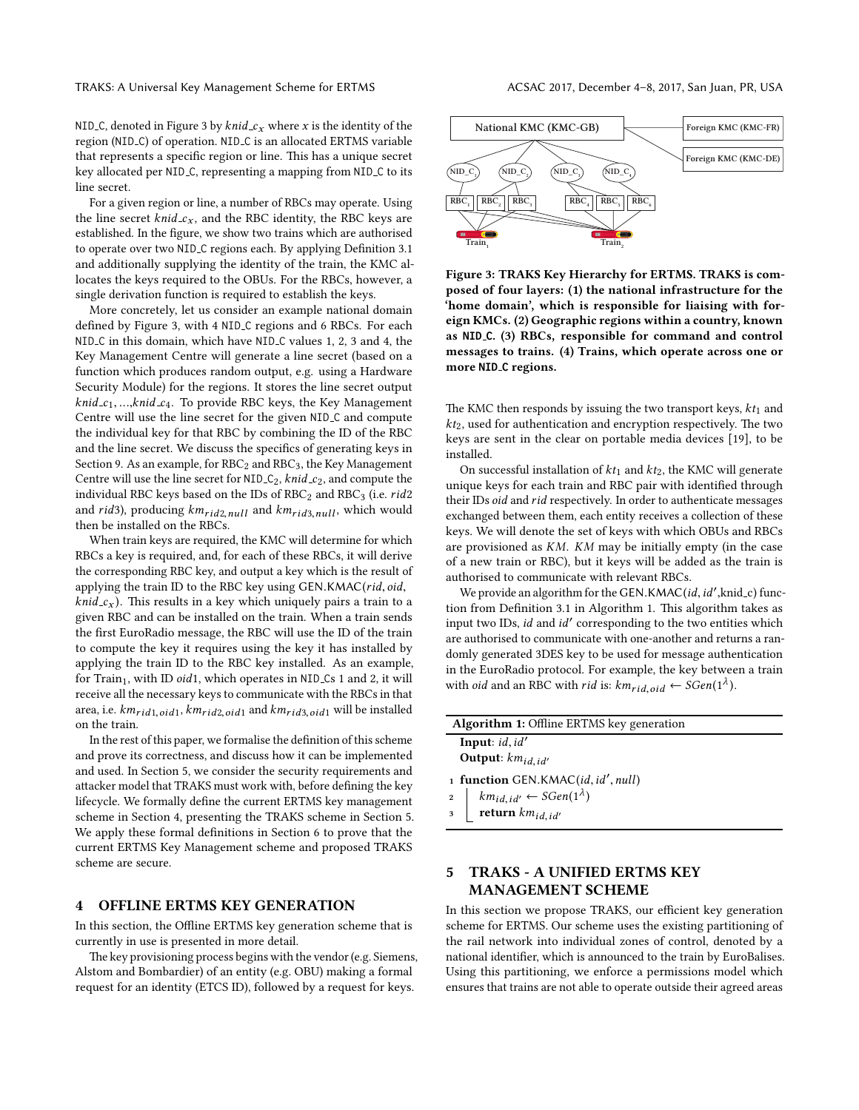NID<sub>-C</sub>, denoted in Figure [3](#page-5-3) by *knid<sub>-Cx</sub>* where x is the identity of the region (NID\_C) of operation. NID\_C is an allocated ERTMS variable that represents a specific region or line. This has a unique secret key allocated per NID C, representing a mapping from NID C to its line secret.

For a given region or line, a number of RBCs may operate. Using the line secret knid  $c_x$ , and the RBC identity, the RBC keys are established. In the figure, we show two trains which are authorised to operate over two NID\_C regions each. By applying Definition [3.1](#page-4-2) and additionally supplying the identity of the train, the KMC allocates the keys required to the OBUs. For the RBCs, however, a single derivation function is required to establish the keys.

More concretely, let us consider an example national domain defined by Figure [3,](#page-5-3) with 4 NID\_C regions and 6 RBCs. For each NID C in this domain, which have NID C values 1, 2, 3 and 4, the Key Management Centre will generate a line secret (based on a function which produces random output, e.g. using a Hardware Security Module) for the regions. It stores the line secret output  $knid_c_1, \ldots, knid_c_4$ . To provide RBC keys, the Key Management Centre will use the line secret for the given NID C and compute the individual key for that RBC by combining the ID of the RBC and the line secret. We discuss the specifics of generating keys in Section [9.](#page-10-0) As an example, for  $RBC_2$  and  $RBC_3$ , the Key Management Centre will use the line secret for  $NID_C_2$ , knid  $c_2$ , and compute the individual RBC keys based on the IDs of  $RBC<sub>2</sub>$  and  $RBC<sub>3</sub>$  (i.e.  $rid2$ and rid3), producing  $km_{rid2,null}$  and  $km_{rid3,null}$ , which would then be installed on the RBCs.

When train keys are required, the KMC will determine for which RBCs a key is required, and, for each of these RBCs, it will derive the corresponding RBC key, and output a key which is the result of applying the train ID to the RBC key using GEN.KMAC(rid, oid,  $knid_c_x$ ). This results in a key which uniquely pairs a train to a given RBC and can be installed on the train. When a train sends the first EuroRadio message, the RBC will use the ID of the train to compute the key it requires using the key it has installed by applying the train ID to the RBC key installed. As an example, for  $Train_1$ , with ID oid1, which operates in NID Cs 1 and 2, it will receive all the necessary keys to communicate with the RBCs in that area, i.e.  $km_{rid1,oid1}, km_{rid2,oid1}$  and  $km_{rid3,oid1}$  will be installed on the train.

In the rest of this paper, we formalise the definition of this scheme and prove its correctness, and discuss how it can be implemented and used. In Section [5,](#page-5-1) we consider the security requirements and attacker model that TRAKS must work with, before defining the key lifecycle. We formally define the current ERTMS key management scheme in Section [4,](#page-5-0) presenting the TRAKS scheme in Section [5.](#page-5-1) We apply these formal definitions in Section [6](#page-7-0) to prove that the current ERTMS Key Management scheme and proposed TRAKS scheme are secure.

#### <span id="page-5-0"></span>4 OFFLINE ERTMS KEY GENERATION

In this section, the Offline ERTMS key generation scheme that is currently in use is presented in more detail.

The key provisioning process begins with the vendor (e.g. Siemens, Alstom and Bombardier) of an entity (e.g. OBU) making a formal request for an identity (ETCS ID), followed by a request for keys.

<span id="page-5-3"></span>

Figure 3: TRAKS Key Hierarchy for ERTMS. TRAKS is composed of four layers: (1) the national infrastructure for the 'home domain', which is responsible for liaising with foreign KMCs. (2) Geographic regions within a country, known as NID C. (3) RBCs, responsible for command and control messages to trains. (4) Trains, which operate across one or more NID<sub>-C</sub> regions.

The KMC then responds by issuing the two transport keys,  $kt_1$  and  $kt_2$ , used for authentication and encryption respectively. The two keys are sent in the clear on portable media devices [\[19\]](#page-12-5), to be installed.

On successful installation of  $kt_1$  and  $kt_2$ , the KMC will generate unique keys for each train and RBC pair with identified through their IDs oid and rid respectively. In order to authenticate messages exchanged between them, each entity receives a collection of these keys. We will denote the set of keys with which OBUs and RBCs are provisioned as KM. KM may be initially empty (in the case of a new train or RBC), but it keys will be added as the train is authorised to communicate with relevant RBCs.

We provide an algorithm for the GEN.KMAC(id, id', knid\_c) func-tion from Definition [3.1](#page-4-2) in Algorithm [1.](#page-5-2) This algorithm takes as input two IDs,  $id$  and  $id'$  corresponding to the two entities which are authorised to communicate with one-another and returns a randomly generated 3DES key to be used for message authentication in the EuroRadio protocol. For example, the key between a train with oid and an RBC with rid is:  $km_{rid,oid} \leftarrow SGen(1^{\lambda})$ .

| <b>Algorithm 1: Offline ERTMS key generation</b>      |
|-------------------------------------------------------|
| <b>Input</b> : $id$ , $id'$<br>Output: $km_{id, id'}$ |
| 1 function GEN.KMAC(id, id', null)                    |
| 2   $km_{id, id'} \leftarrow SGen(1^{\lambda})$       |

- 
- <span id="page-5-2"></span>return  $km_{id,id'}$

#### <span id="page-5-1"></span>5 TRAKS - A UNIFIED ERTMS KEY MANAGEMENT SCHEME

In this section we propose TRAKS, our efficient key generation scheme for ERTMS. Our scheme uses the existing partitioning of the rail network into individual zones of control, denoted by a national identifier, which is announced to the train by EuroBalises. Using this partitioning, we enforce a permissions model which ensures that trains are not able to operate outside their agreed areas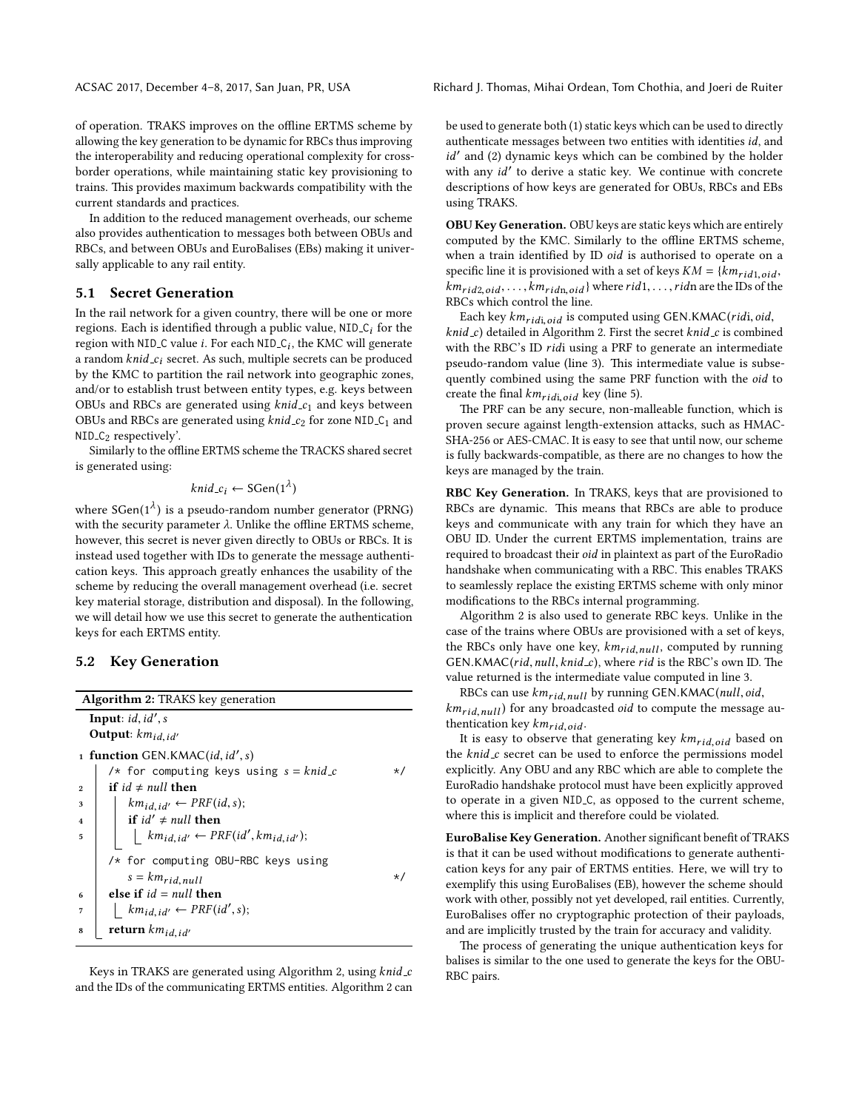ACSAC 2017, December 4–8, 2017, San Juan, PR, USA Richard J. Thomas, Mihai Ordean, Tom Chothia, and Joeri de Ruiter

of operation. TRAKS improves on the offline ERTMS scheme by allowing the key generation to be dynamic for RBCs thus improving the interoperability and reducing operational complexity for crossborder operations, while maintaining static key provisioning to trains. This provides maximum backwards compatibility with the current standards and practices.

In addition to the reduced management overheads, our scheme also provides authentication to messages both between OBUs and RBCs, and between OBUs and EuroBalises (EBs) making it universally applicable to any rail entity.

#### 5.1 Secret Generation

In the rail network for a given country, there will be one or more regions. Each is identified through a public value,  $NID_C_i$  for the region with NID<sub>-C</sub> value *i*. For each NID<sub>-C<sub>i</sub>, the KMC will generate</sub> a random  $kni d_c$ ; secret. As such, multiple secrets can be produced by the KMC to partition the rail network into geographic zones, and/or to establish trust between entity types, e.g. keys between OBUs and RBCs are generated using  $knid_c_1$  and keys between OBUs and RBCs are generated using  $kni d_c$  for zone NID  $C_1$  and  $NID_C<sub>2</sub>$  respectively'.

Similarly to the offline ERTMS scheme the TRACKS shared secret is generated using:

$$
knid\_c_i \leftarrow \text{SGen}(1^{\lambda})
$$

where SGen( $1^{\lambda}$ ) is a pseudo-random number generator (PRNG) with the security parameter  $\lambda$ . Unlike the offline ERTMS scheme, however, this secret is never given directly to OBUs or RBCs. It is instead used together with IDs to generate the message authentication keys. This approach greatly enhances the usability of the scheme by reducing the overall management overhead (i.e. secret key material storage, distribution and disposal). In the following, we will detail how we use this secret to generate the authentication keys for each ERTMS entity.

#### 5.2 Key Generation

<span id="page-6-2"></span><span id="page-6-1"></span>

| <b>Algorithm 2: TRAKS key generation</b>                                        |           |
|---------------------------------------------------------------------------------|-----------|
| <b>Input</b> : $id$ , $id'$ , $s$                                               |           |
| Output: $km_{id, id'}$                                                          |           |
| 1 function GEN.KMAC(id, id', s)                                                 |           |
| /* for computing keys using $s = knid_c$                                        | $\star$ / |
| if $id \neq null$ then<br>$\overline{2}$                                        |           |
| $km_{id, id'} \leftarrow PRF(id, s);$<br>3                                      |           |
| if $id' \neq null$ then<br>$\overline{\mathbf{4}}$                              |           |
| $\vert$ km <sub>id,id'</sub> $\leftarrow$ PRF(id', km <sub>id,id'</sub> );<br>5 |           |
| /* for computing OBU-RBC keys using                                             |           |
| $s = km_{rid, null}$                                                            | $\star$ / |
| else if $id = null$ then<br>6                                                   |           |
| $km_{id_id'} \leftarrow PRF(id', s);$<br>$\overline{7}$                         |           |
| return $km_{id, id'}$<br>8                                                      |           |

<span id="page-6-0"></span>Keys in TRAKS are generated using Algorithm [2,](#page-6-0) using knid\_c and the IDs of the communicating ERTMS entities. Algorithm [2](#page-6-0) can be used to generate both (1) static keys which can be used to directly authenticate messages between two entities with identities id, and  $id'$  and (2) dynamic keys which can be combined by the holder with any id' to derive a static key. We continue with concrete descriptions of how keys are generated for OBUs, RBCs and EBs using TRAKS.

OBU Key Generation. OBU keys are static keys which are entirely computed by the KMC. Similarly to the offline ERTMS scheme, when a train identified by ID oid is authorised to operate on a specific line it is provisioned with a set of keys  $KM = \{km_{rid1,oid},$  $km_{rid2,oid}, \ldots, km_{ridn,oid}$  where rid1, ..., ridn are the IDs of the RBCs which control the line.

Each key  $km_{ridi,oid}$  is computed using GEN.KMAC(ridi, oid,  $knid_c$ ) detailed in Algorithm [2.](#page-6-0) First the secret  $knid_c$  is combined with the RBC's ID ridi using a PRF to generate an intermediate pseudo-random value (line [3\)](#page-6-1). This intermediate value is subsequently combined using the same PRF function with the oid to create the final  $km_{ridi,oid}$  key (line [5\)](#page-6-2).

The PRF can be any secure, non-malleable function, which is proven secure against length-extension attacks, such as HMAC-SHA-256 or AES-CMAC. It is easy to see that until now, our scheme is fully backwards-compatible, as there are no changes to how the keys are managed by the train.

RBC Key Generation. In TRAKS, keys that are provisioned to RBCs are dynamic. This means that RBCs are able to produce keys and communicate with any train for which they have an OBU ID. Under the current ERTMS implementation, trains are required to broadcast their oid in plaintext as part of the EuroRadio handshake when communicating with a RBC. This enables TRAKS to seamlessly replace the existing ERTMS scheme with only minor modifications to the RBCs internal programming.

Algorithm [2](#page-6-0) is also used to generate RBC keys. Unlike in the case of the trains where OBUs are provisioned with a set of keys, the RBCs only have one key,  $km_{rid, null}$ , computed by running GEN.KMAC( $rid$ ,  $null$ ,  $knid$ <sub>-c</sub>), where rid is the RBC's own ID. The value returned is the intermediate value computed in line [3.](#page-6-1)

RBCs can use  $km_{rid, null}$  by running GEN.KMAC(null, oid,  $km_{rid,null}$ ) for any broadcasted *oid* to compute the message authentication key  $km_{rid,oid}$ .

It is easy to observe that generating key  $km_{rid,oid}$  based on the  $knid_c$  secret can be used to enforce the permissions model explicitly. Any OBU and any RBC which are able to complete the EuroRadio handshake protocol must have been explicitly approved to operate in a given NID C, as opposed to the current scheme, where this is implicit and therefore could be violated.

EuroBalise Key Generation. Another significant benefit of TRAKS is that it can be used without modifications to generate authentication keys for any pair of ERTMS entities. Here, we will try to exemplify this using EuroBalises (EB), however the scheme should work with other, possibly not yet developed, rail entities. Currently, EuroBalises offer no cryptographic protection of their payloads, and are implicitly trusted by the train for accuracy and validity.

The process of generating the unique authentication keys for balises is similar to the one used to generate the keys for the OBU-RBC pairs.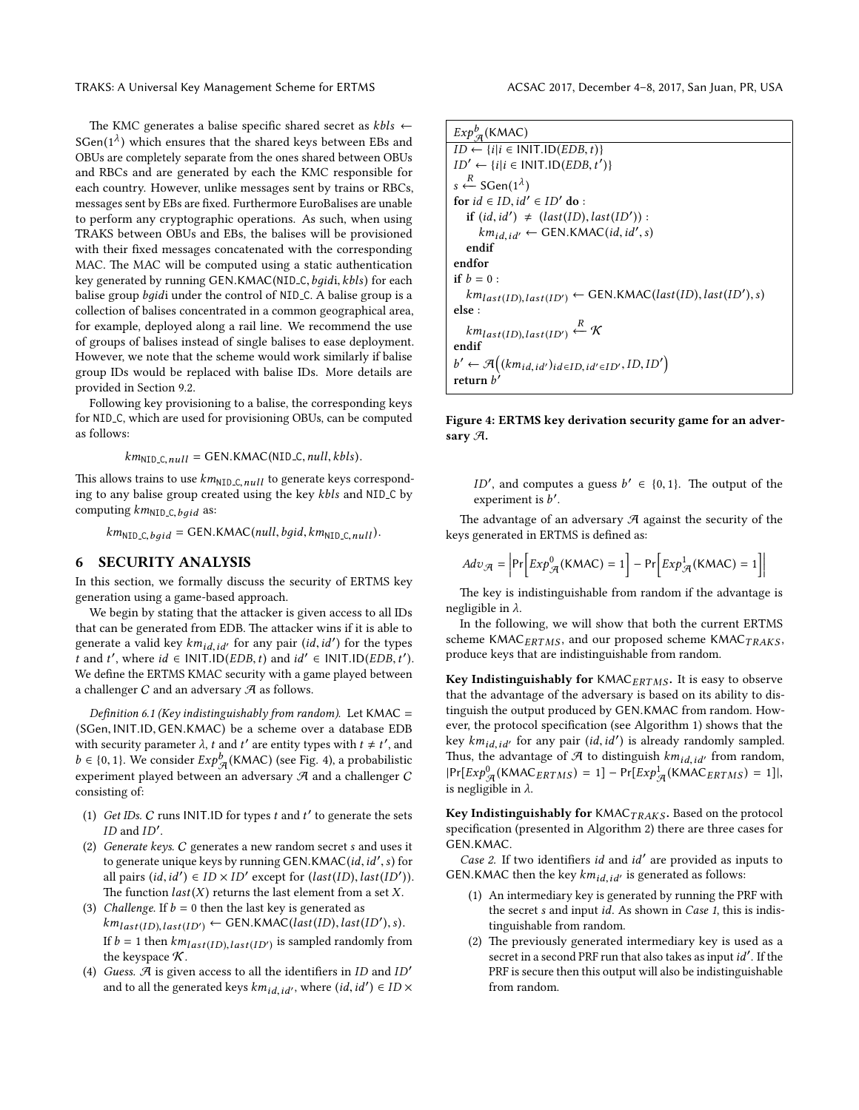The KMC generates a balise specific shared secret as  $kbls \leftarrow$ SGen( $1^{\lambda}$ ) which ensures that the shared keys between EBs and OBUs are completely separate from the ones shared between OBUs and RBCs and are generated by each the KMC responsible for each country. However, unlike messages sent by trains or RBCs, messages sent by EBs are fixed. Furthermore EuroBalises are unable to perform any cryptographic operations. As such, when using TRAKS between OBUs and EBs, the balises will be provisioned with their fixed messages concatenated with the corresponding MAC. The MAC will be computed using a static authentication key generated by running GEN.KMAC(NID\_C, bqidi, kbls) for each balise group *bqidi* under the control of NID<sub>-C</sub>. A balise group is a collection of balises concentrated in a common geographical area, for example, deployed along a rail line. We recommend the use of groups of balises instead of single balises to ease deployment. However, we note that the scheme would work similarly if balise group IDs would be replaced with balise IDs. More details are provided in Section [9.2.](#page-10-1)

Following key provisioning to a balise, the corresponding keys for NID C, which are used for provisioning OBUs, can be computed as follows:

 $km_{\text{NID C. null}} = \text{GEN.KMAC}(\text{NID_C, null, kbls}).$ 

This allows trains to use  $km<sub>NID.C. null</sub>$  to generate keys corresponding to any balise group created using the key kbls and NID C by computing  $km_{\text{NID\_C},\text{baid}}$  as:

 $km_{\text{NID}\_C,baid} = \text{GEN.KMAC}(null, bgid, km_{\text{NID}\_C,null}).$ 

#### <span id="page-7-0"></span>6 SECURITY ANALYSIS

In this section, we formally discuss the security of ERTMS key generation using a game-based approach.

We begin by stating that the attacker is given access to all IDs that can be generated from EDB. The attacker wins if it is able to generate a valid key  $km_{id, id'}$  for any pair  $(id, id')$  for the types t and t', where  $id \in INIT.ID(EDB, t)$  and  $id' \in INIT.ID(EDB, t')$ . We define the ERTMS KMAC security with a game played between a challenger  $C$  and an adversary  $\mathcal A$  as follows.

Definition 6.1 (Key indistinguishably from random). Let  $KMAC =$ (SGen, INIT.ID, GEN.KMAC) be a scheme over a database EDB with security parameter  $\lambda$ , t and t' are entity types with  $t \neq t'$ , and  $b \in \{0, 1\}$ . We consider  $Exp^b_{\mathcal{A}}(KMAC)$  (see Fig. [4\)](#page-7-1), a probabilistic experiment played between an adversary  $A$  and a challenger  $C$ consisting of:

- (1) Get IDs.  $C$  runs INIT.ID for types  $t$  and  $t'$  to generate the sets  $ID$  and  $ID'$ .
- (2) Generate keys. C generates a new random secret s and uses it to generate unique keys by running GEN.KMAC(id, id', s) for all pairs  $(id, id') \in ID \times ID'$  except for  $(last(ID), last(ID')).$ The function  $last(X)$  returns the last element from a set X.
- (3) Challenge. If  $b = 0$  then the last key is generated as  $km_{last(ID), last(ID)} \leftarrow$  GEN.KMAC(last(ID), last(ID'), s). If  $b = 1$  then  $km_{last(ID),last(ID')}$  is sampled randomly from the keyspace  $K$ .
- (4) Guess.  $A$  is given access to all the identifiers in ID and ID' and to all the generated keys  $km_{id,\,id'}$ , where  $(id,id') \in ID \times$

<span id="page-7-1"></span>

| $Exp^b_{\mathcal{A}}(KMAC)$                                                   |
|-------------------------------------------------------------------------------|
| $ID \leftarrow \{i   i \in \text{INIT.ID}(EDB, t)\}\$                         |
| $ID' \leftarrow \{i   i \in \text{INIT.ID}(EDB, t')\}$                        |
| $s \stackrel{R}{\leftarrow}$ SGen(1 <sup><math>\lambda</math></sup> )         |
| for $id \in ID$ , $id' \in ID'$ do:                                           |
| if $(id, id') \neq (last(ID), last(ID'))$ :                                   |
| $km_{id, id'} \leftarrow$ GEN.KMAC(id, id', s)                                |
| endif                                                                         |
| endfor                                                                        |
| if $b = 0$ :                                                                  |
| $km_{last(ID), last(ID)} \leftarrow$ GEN.KMAC(last(ID), last(ID'), s)         |
| else :                                                                        |
| $km_{last(ID), last(ID')} \stackrel{R}{\leftarrow} K$                         |
| endif                                                                         |
| $b' \leftarrow \mathcal{A}((km_{id, id'})_{id \in ID, id' \in ID'}, ID, ID')$ |
| return b                                                                      |

Figure 4: ERTMS key derivation security game for an adversary A.

ID', and computes a guess  $b' \in \{0, 1\}$ . The output of the experiment is  $\overline{b}$ .

The advantage of an adversary  $A$  against the security of the keys generated in ERTMS is defined as:  $\overline{a}$  $\overline{a}$ 

$$
Adv_{\mathcal{A}} = \left| \Pr \left[ Exp_{\mathcal{A}}^{0}(\text{KMAC}) = 1 \right] - \Pr \left[ Exp_{\mathcal{A}}^{1}(\text{KMAC}) = 1 \right] \right|
$$

The key is indistinguishable from random if the advantage is negligible in λ.

In the following, we will show that both the current ERTMS scheme KMAC $_{ERTMS}$ , and our proposed scheme KMAC $_{TRAKS}$ , produce keys that are indistinguishable from random.

Key Indistinguishably for  $KMAC_{ERTMS}$ . It is easy to observe that the advantage of the adversary is based on its ability to distinguish the output produced by GEN.KMAC from random. How-ever, the protocol specification (see Algorithm [1\)](#page-5-2) shows that the key  $km_{id, id'}$  for any pair  $(id, id')$  is already randomly sampled. Thus, the advantage of  $\mathcal A$  to distinguish  $km_{id_id'}$  from random,  $|\Pr[Exp^0_{\mathcal{A}}(\text{KMAC}_{ERTMS}) = 1] - \Pr[Exp^1_{\mathcal{A}}(\text{KMAC}_{ERTMS}) = 1]|,$ is negligible in  $\lambda$ .

Key Indistinguishably for  $KMAC_{TRAKS}$ . Based on the protocol specification (presented in Algorithm [2\)](#page-6-0) there are three cases for GEN.KMAC.

Case 2. If two identifiers id and id' are provided as inputs to GEN.KMAC then the key  $km_{id,id'}$  is generated as follows:

- (1) An intermediary key is generated by running the PRF with the secret s and input id. As shown in Case 1, this is indistinguishable from random.
- (2) The previously generated intermediary key is used as a secret in a second PRF run that also takes as input  $id'$ . If the PRF is secure then this output will also be indistinguishable from random.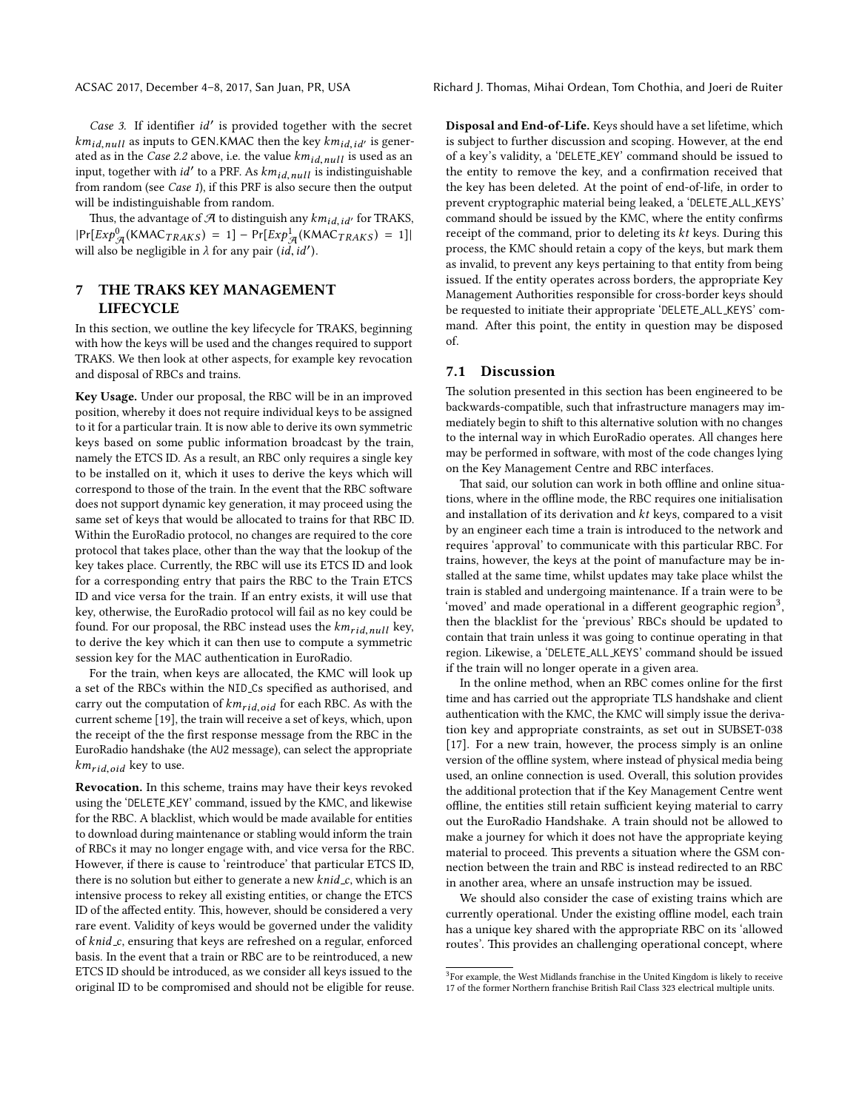ACSAC 2017, December 4–8, 2017, San Juan, PR, USA Richard J. Thomas, Mihai Ordean, Tom Chothia, and Joeri de Ruiter

Case 3. If identifier id' is provided together with the secret  $km_{id,null}$  as inputs to GEN.KMAC then the key  $km_{id,id'}$  is generated as in the Case 2.2 above, i.e. the value  $km_{id,null}$  is used as an input, together with  $id'$  to a PRF. As  $km_{id,null}$  is indistinguishable from random (see Case 1), if this PRF is also secure then the output will be indistinguishable from random.

Thus, the advantage of  $A$  to distinguish any  $km_{id,id'}$  for TRAKS,  $|\Pr[Exp^0_{\mathcal{A}}(\text{KMAC}_{TRAKS}) = 1] - \Pr[Exp^1_{\mathcal{A}}(\text{KMAC}_{TRAKS}) = 1]|$ will also be negligible in  $\lambda$  for any pair (id, id').

#### <span id="page-8-0"></span>7 THE TRAKS KEY MANAGEMENT **LIFECYCLE**

In this section, we outline the key lifecycle for TRAKS, beginning with how the keys will be used and the changes required to support TRAKS. We then look at other aspects, for example key revocation and disposal of RBCs and trains.

Key Usage. Under our proposal, the RBC will be in an improved position, whereby it does not require individual keys to be assigned to it for a particular train. It is now able to derive its own symmetric keys based on some public information broadcast by the train, namely the ETCS ID. As a result, an RBC only requires a single key to be installed on it, which it uses to derive the keys which will correspond to those of the train. In the event that the RBC software does not support dynamic key generation, it may proceed using the same set of keys that would be allocated to trains for that RBC ID. Within the EuroRadio protocol, no changes are required to the core protocol that takes place, other than the way that the lookup of the key takes place. Currently, the RBC will use its ETCS ID and look for a corresponding entry that pairs the RBC to the Train ETCS ID and vice versa for the train. If an entry exists, it will use that key, otherwise, the EuroRadio protocol will fail as no key could be found. For our proposal, the RBC instead uses the  $km_{rid,null}$  key, to derive the key which it can then use to compute a symmetric session key for the MAC authentication in EuroRadio.

For the train, when keys are allocated, the KMC will look up a set of the RBCs within the NID<sub>-Cs</sub> specified as authorised, and carry out the computation of  $km_{rid,oid}$  for each RBC. As with the current scheme [\[19\]](#page-12-5), the train will receive a set of keys, which, upon the receipt of the the first response message from the RBC in the EuroRadio handshake (the AU2 message), can select the appropriate  $km_{rid,oid}$  key to use.

Revocation. In this scheme, trains may have their keys revoked using the 'DELETE KEY' command, issued by the KMC, and likewise for the RBC. A blacklist, which would be made available for entities to download during maintenance or stabling would inform the train of RBCs it may no longer engage with, and vice versa for the RBC. However, if there is cause to 'reintroduce' that particular ETCS ID, there is no solution but either to generate a new  $knid_c$ , which is an intensive process to rekey all existing entities, or change the ETCS ID of the affected entity. This, however, should be considered a very rare event. Validity of keys would be governed under the validity of knid c, ensuring that keys are refreshed on a regular, enforced basis. In the event that a train or RBC are to be reintroduced, a new ETCS ID should be introduced, as we consider all keys issued to the original ID to be compromised and should not be eligible for reuse.

Disposal and End-of-Life. Keys should have a set lifetime, which is subject to further discussion and scoping. However, at the end of a key's validity, a 'DELETE KEY' command should be issued to the entity to remove the key, and a confirmation received that the key has been deleted. At the point of end-of-life, in order to prevent cryptographic material being leaked, a 'DELETE ALL KEYS' command should be issued by the KMC, where the entity confirms receipt of the command, prior to deleting its kt keys. During this process, the KMC should retain a copy of the keys, but mark them as invalid, to prevent any keys pertaining to that entity from being issued. If the entity operates across borders, the appropriate Key Management Authorities responsible for cross-border keys should be requested to initiate their appropriate 'DELETE ALL KEYS' command. After this point, the entity in question may be disposed of.

#### 7.1 Discussion

The solution presented in this section has been engineered to be backwards-compatible, such that infrastructure managers may immediately begin to shift to this alternative solution with no changes to the internal way in which EuroRadio operates. All changes here may be performed in software, with most of the code changes lying on the Key Management Centre and RBC interfaces.

That said, our solution can work in both offline and online situations, where in the offline mode, the RBC requires one initialisation and installation of its derivation and kt keys, compared to a visit by an engineer each time a train is introduced to the network and requires 'approval' to communicate with this particular RBC. For trains, however, the keys at the point of manufacture may be installed at the same time, whilst updates may take place whilst the train is stabled and undergoing maintenance. If a train were to be 'moved' and made operational in a different geographic region<sup>[3](#page-8-1)</sup>, then the blacklist for the 'previous' RBCs should be updated to contain that train unless it was going to continue operating in that region. Likewise, a 'DELETE ALL KEYS' command should be issued if the train will no longer operate in a given area.

In the online method, when an RBC comes online for the first time and has carried out the appropriate TLS handshake and client authentication with the KMC, the KMC will simply issue the derivation key and appropriate constraints, as set out in SUBSET-038 [\[17\]](#page-12-18). For a new train, however, the process simply is an online version of the offline system, where instead of physical media being used, an online connection is used. Overall, this solution provides the additional protection that if the Key Management Centre went offline, the entities still retain sufficient keying material to carry out the EuroRadio Handshake. A train should not be allowed to make a journey for which it does not have the appropriate keying material to proceed. This prevents a situation where the GSM connection between the train and RBC is instead redirected to an RBC in another area, where an unsafe instruction may be issued.

We should also consider the case of existing trains which are currently operational. Under the existing offline model, each train has a unique key shared with the appropriate RBC on its 'allowed routes'. This provides an challenging operational concept, where

<span id="page-8-1"></span><sup>&</sup>lt;sup>3</sup>For example, the West Midlands franchise in the United Kingdom is likely to receive 17 of the former Northern franchise British Rail Class 323 electrical multiple units.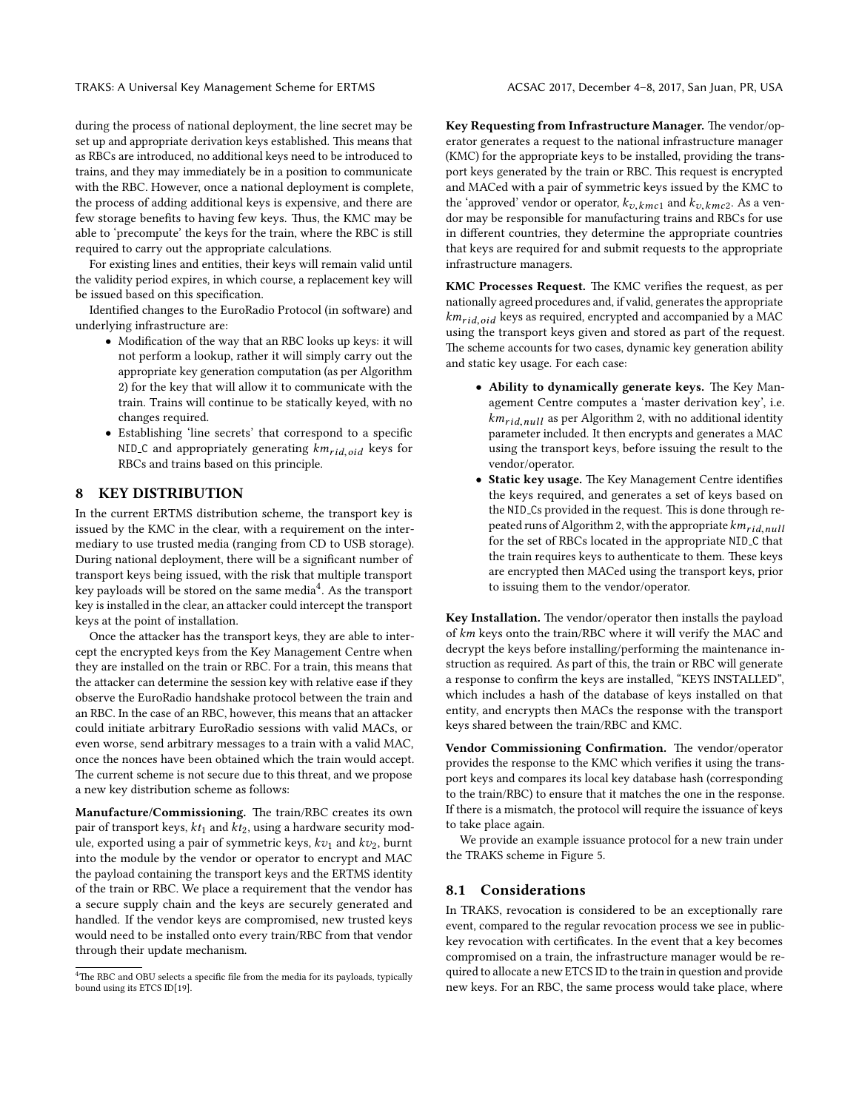during the process of national deployment, the line secret may be set up and appropriate derivation keys established. This means that as RBCs are introduced, no additional keys need to be introduced to trains, and they may immediately be in a position to communicate with the RBC. However, once a national deployment is complete, the process of adding additional keys is expensive, and there are few storage benefits to having few keys. Thus, the KMC may be able to 'precompute' the keys for the train, where the RBC is still required to carry out the appropriate calculations.

For existing lines and entities, their keys will remain valid until the validity period expires, in which course, a replacement key will be issued based on this specification.

Identified changes to the EuroRadio Protocol (in software) and underlying infrastructure are:

- Modification of the way that an RBC looks up keys: it will not perform a lookup, rather it will simply carry out the appropriate key generation computation (as per Algorithm [2\)](#page-6-0) for the key that will allow it to communicate with the train. Trains will continue to be statically keyed, with no changes required.
- Establishing 'line secrets' that correspond to a specific NID<sub>-C</sub> and appropriately generating  $km_{rid,oid}$  keys for RBCs and trains based on this principle.

#### <span id="page-9-0"></span>8 KEY DISTRIBUTION

In the current ERTMS distribution scheme, the transport key is issued by the KMC in the clear, with a requirement on the intermediary to use trusted media (ranging from CD to USB storage). During national deployment, there will be a signicant number of transport keys being issued, with the risk that multiple transport key payloads will be stored on the same media<sup>[4](#page-9-1)</sup>. As the transport key is installed in the clear, an attacker could intercept the transport keys at the point of installation.

Once the attacker has the transport keys, they are able to intercept the encrypted keys from the Key Management Centre when they are installed on the train or RBC. For a train, this means that the attacker can determine the session key with relative ease if they observe the EuroRadio handshake protocol between the train and an RBC. In the case of an RBC, however, this means that an attacker could initiate arbitrary EuroRadio sessions with valid MACs, or even worse, send arbitrary messages to a train with a valid MAC, once the nonces have been obtained which the train would accept. The current scheme is not secure due to this threat, and we propose a new key distribution scheme as follows:

Manufacture/Commissioning. The train/RBC creates its own pair of transport keys,  $kt_1$  and  $kt_2$ , using a hardware security module, exported using a pair of symmetric keys,  $kv_1$  and  $kv_2$ , burnt into the module by the vendor or operator to encrypt and MAC the payload containing the transport keys and the ERTMS identity of the train or RBC. We place a requirement that the vendor has a secure supply chain and the keys are securely generated and handled. If the vendor keys are compromised, new trusted keys would need to be installed onto every train/RBC from that vendor through their update mechanism.

Key Requesting from Infrastructure Manager. The vendor/operator generates a request to the national infrastructure manager (KMC) for the appropriate keys to be installed, providing the transport keys generated by the train or RBC. This request is encrypted and MACed with a pair of symmetric keys issued by the KMC to the 'approved' vendor or operator,  $k_{\upsilon, kmc1}$  and  $k_{\upsilon, kmc2}$ . As a vendor may be responsible for manufacturing trains and RBCs for use in different countries, they determine the appropriate countries that keys are required for and submit requests to the appropriate infrastructure managers.

KMC Processes Request. The KMC verifies the request, as per nationally agreed procedures and, if valid, generates the appropriate  $km_{rid.oid}$  keys as required, encrypted and accompanied by a MAC using the transport keys given and stored as part of the request. The scheme accounts for two cases, dynamic key generation ability and static key usage. For each case:

- $\bullet$  Ability to dynamically generate keys. The Key Management Centre computes a 'master derivation key', i.e.  $km_{rid,null}$  as per Algorithm [2,](#page-6-0) with no additional identity parameter included. It then encrypts and generates a MAC using the transport keys, before issuing the result to the vendor/operator.
- Static key usage. The Key Management Centre identifies the keys required, and generates a set of keys based on the NID\_Cs provided in the request. This is done through re-peated runs of Algorithm [2,](#page-6-0) with the appropriate  $km_{rid,null}$ for the set of RBCs located in the appropriate NID C that the train requires keys to authenticate to them. These keys are encrypted then MACed using the transport keys, prior to issuing them to the vendor/operator.

Key Installation. The vendor/operator then installs the payload of km keys onto the train/RBC where it will verify the MAC and decrypt the keys before installing/performing the maintenance instruction as required. As part of this, the train or RBC will generate a response to confirm the keys are installed, "KEYS INSTALLED", which includes a hash of the database of keys installed on that entity, and encrypts then MACs the response with the transport keys shared between the train/RBC and KMC.

Vendor Commissioning Confirmation. The vendor/operator provides the response to the KMC which verifies it using the transport keys and compares its local key database hash (corresponding to the train/RBC) to ensure that it matches the one in the response. If there is a mismatch, the protocol will require the issuance of keys to take place again.

We provide an example issuance protocol for a new train under the TRAKS scheme in Figure [5.](#page-10-2)

#### 8.1 Considerations

In TRAKS, revocation is considered to be an exceptionally rare event, compared to the regular revocation process we see in publickey revocation with certificates. In the event that a key becomes compromised on a train, the infrastructure manager would be required to allocate a new ETCS ID to the train in question and provide new keys. For an RBC, the same process would take place, where

<span id="page-9-1"></span> ${}^{4}\mathrm{The}$  RBC and OBU selects a specific file from the media for its payloads, typically bound using its ETCS ID[\[19\]](#page-12-5).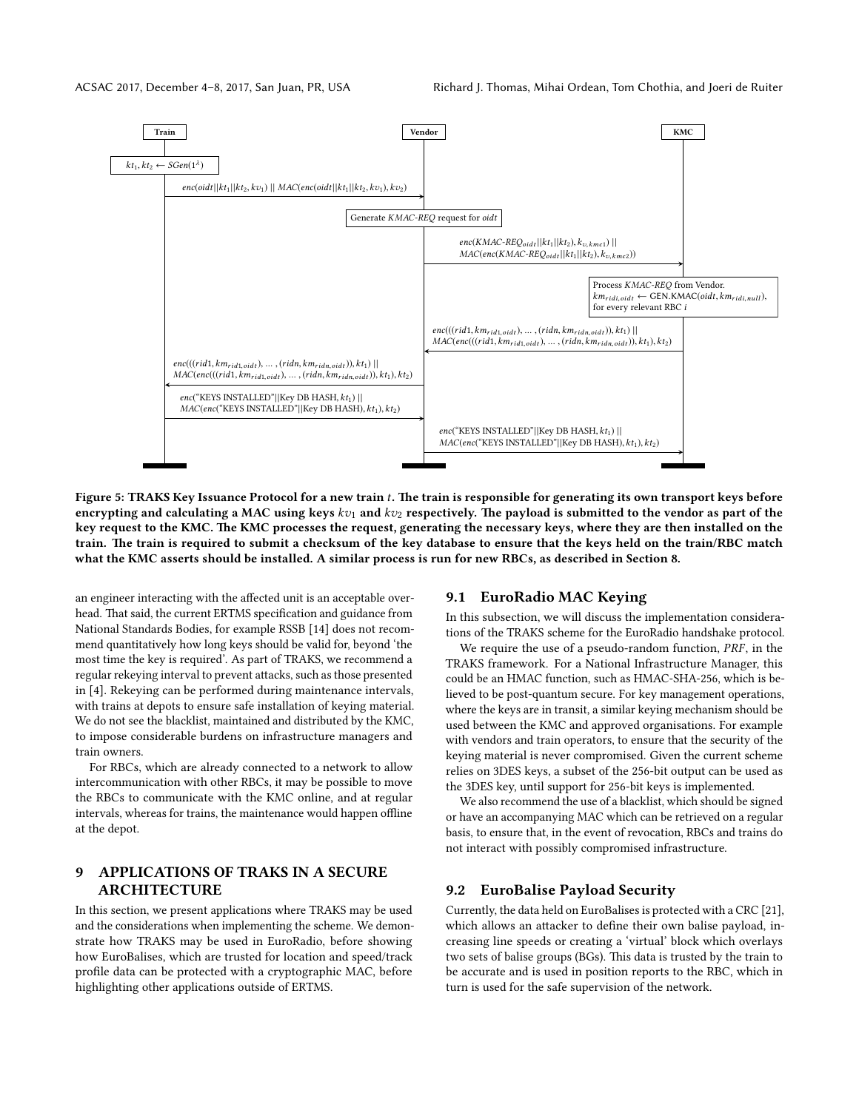<span id="page-10-2"></span>

Figure 5: TRAKS Key Issuance Protocol for a new train t. The train is responsible for generating its own transport keys before encrypting and calculating a MAC using keys  $kv_1$  and  $kv_2$  respectively. The payload is submitted to the vendor as part of the key request to the KMC. The KMC processes the request, generating the necessary keys, where they are then installed on the train. The train is required to submit a checksum of the key database to ensure that the keys held on the train/RBC match what the KMC asserts should be installed. A similar process is run for new RBCs, as described in Section [8.](#page-9-0)

an engineer interacting with the affected unit is an acceptable overhead. That said, the current ERTMS specification and guidance from National Standards Bodies, for example RSSB [\[14\]](#page-12-19) does not recommend quantitatively how long keys should be valid for, beyond 'the most time the key is required'. As part of TRAKS, we recommend a regular rekeying interval to prevent attacks, such as those presented in [\[4\]](#page-12-20). Rekeying can be performed during maintenance intervals, with trains at depots to ensure safe installation of keying material. We do not see the blacklist, maintained and distributed by the KMC, to impose considerable burdens on infrastructure managers and train owners.

For RBCs, which are already connected to a network to allow intercommunication with other RBCs, it may be possible to move the RBCs to communicate with the KMC online, and at regular intervals, whereas for trains, the maintenance would happen offline at the depot.

#### <span id="page-10-0"></span>9 APPLICATIONS OF TRAKS IN A SECURE ARCHITECTURE

In this section, we present applications where TRAKS may be used and the considerations when implementing the scheme. We demonstrate how TRAKS may be used in EuroRadio, before showing how EuroBalises, which are trusted for location and speed/track profile data can be protected with a cryptographic MAC, before highlighting other applications outside of ERTMS.

#### 9.1 EuroRadio MAC Keying

In this subsection, we will discuss the implementation considerations of the TRAKS scheme for the EuroRadio handshake protocol.

We require the use of a pseudo-random function, PRF, in the TRAKS framework. For a National Infrastructure Manager, this could be an HMAC function, such as HMAC-SHA-256, which is believed to be post-quantum secure. For key management operations, where the keys are in transit, a similar keying mechanism should be used between the KMC and approved organisations. For example with vendors and train operators, to ensure that the security of the keying material is never compromised. Given the current scheme relies on 3DES keys, a subset of the 256-bit output can be used as the 3DES key, until support for 256-bit keys is implemented.

We also recommend the use of a blacklist, which should be signed or have an accompanying MAC which can be retrieved on a regular basis, to ensure that, in the event of revocation, RBCs and trains do not interact with possibly compromised infrastructure.

#### <span id="page-10-1"></span>9.2 EuroBalise Payload Security

Currently, the data held on EuroBalises is protected with a CRC [\[21\]](#page-12-3), which allows an attacker to define their own balise payload, increasing line speeds or creating a 'virtual' block which overlays two sets of balise groups (BGs). This data is trusted by the train to be accurate and is used in position reports to the RBC, which in turn is used for the safe supervision of the network.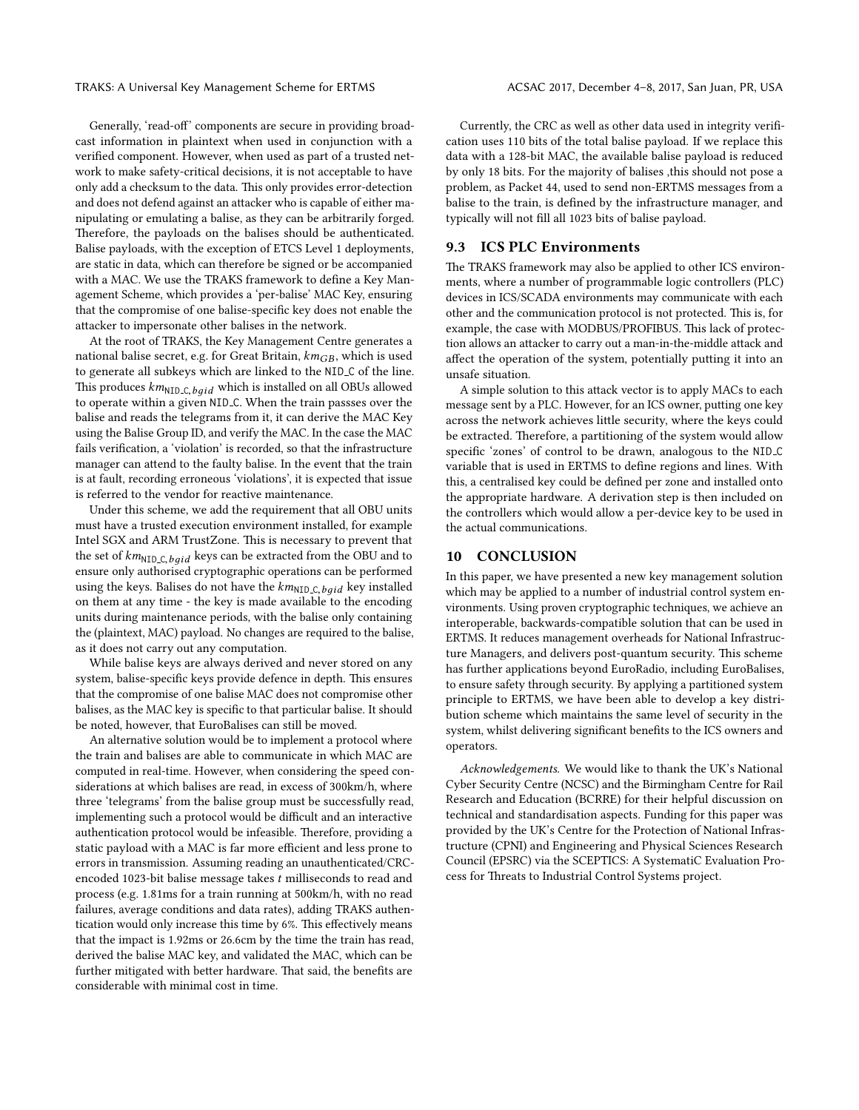Generally, 'read-off' components are secure in providing broadcast information in plaintext when used in conjunction with a verified component. However, when used as part of a trusted network to make safety-critical decisions, it is not acceptable to have only add a checksum to the data. This only provides error-detection and does not defend against an attacker who is capable of either manipulating or emulating a balise, as they can be arbitrarily forged. Therefore, the payloads on the balises should be authenticated. Balise payloads, with the exception of ETCS Level 1 deployments, are static in data, which can therefore be signed or be accompanied with a MAC. We use the TRAKS framework to define a Key Management Scheme, which provides a 'per-balise' MAC Key, ensuring that the compromise of one balise-specific key does not enable the attacker to impersonate other balises in the network.

At the root of TRAKS, the Key Management Centre generates a national balise secret, e.g. for Great Britain,  $km_{GB}$ , which is used to generate all subkeys which are linked to the NID C of the line. This produces  $km_{\rm NID\_C, \, bgid}$  which is installed on all OBUs allowed to operate within a given NID C. When the train passses over the balise and reads the telegrams from it, it can derive the MAC Key using the Balise Group ID, and verify the MAC. In the case the MAC fails verification, a 'violation' is recorded, so that the infrastructure manager can attend to the faulty balise. In the event that the train is at fault, recording erroneous 'violations', it is expected that issue is referred to the vendor for reactive maintenance.

Under this scheme, we add the requirement that all OBU units must have a trusted execution environment installed, for example Intel SGX and ARM TrustZone. This is necessary to prevent that the set of  $km_{\text{NID\_C},\text{bgid}}$  keys can be extracted from the OBU and to ensure only authorised cryptographic operations can be performed using the keys. Balises do not have the  $km_{\text{NID\_C},\text{bqid}}$  key installed on them at any time - the key is made available to the encoding units during maintenance periods, with the balise only containing the (plaintext, MAC) payload. No changes are required to the balise, as it does not carry out any computation.

While balise keys are always derived and never stored on any system, balise-specific keys provide defence in depth. This ensures that the compromise of one balise MAC does not compromise other balises, as the MAC key is specific to that particular balise. It should be noted, however, that EuroBalises can still be moved.

An alternative solution would be to implement a protocol where the train and balises are able to communicate in which MAC are computed in real-time. However, when considering the speed considerations at which balises are read, in excess of 300km/h, where three 'telegrams' from the balise group must be successfully read, implementing such a protocol would be difficult and an interactive authentication protocol would be infeasible. Therefore, providing a static payload with a MAC is far more efficient and less prone to errors in transmission. Assuming reading an unauthenticated/CRCencoded 1023-bit balise message takes t milliseconds to read and process (e.g. 1.81ms for a train running at 500km/h, with no read failures, average conditions and data rates), adding TRAKS authentication would only increase this time by 6%. This effectively means that the impact is 1.92ms or 26.6cm by the time the train has read, derived the balise MAC key, and validated the MAC, which can be further mitigated with better hardware. That said, the benefits are considerable with minimal cost in time.

Currently, the CRC as well as other data used in integrity verification uses 110 bits of the total balise payload. If we replace this data with a 128-bit MAC, the available balise payload is reduced by only 18 bits. For the majority of balises ,this should not pose a problem, as Packet 44, used to send non-ERTMS messages from a balise to the train, is defined by the infrastructure manager, and typically will not fill all 1023 bits of balise payload.

#### 9.3 ICS PLC Environments

The TRAKS framework may also be applied to other ICS environments, where a number of programmable logic controllers (PLC) devices in ICS/SCADA environments may communicate with each other and the communication protocol is not protected. This is, for example, the case with MODBUS/PROFIBUS. This lack of protection allows an attacker to carry out a man-in-the-middle attack and affect the operation of the system, potentially putting it into an unsafe situation.

A simple solution to this attack vector is to apply MACs to each message sent by a PLC. However, for an ICS owner, putting one key across the network achieves little security, where the keys could be extracted. Therefore, a partitioning of the system would allow specific 'zones' of control to be drawn, analogous to the NID\_C variable that is used in ERTMS to define regions and lines. With this, a centralised key could be defined per zone and installed onto the appropriate hardware. A derivation step is then included on the controllers which would allow a per-device key to be used in the actual communications.

#### <span id="page-11-0"></span>10 CONCLUSION

In this paper, we have presented a new key management solution which may be applied to a number of industrial control system environments. Using proven cryptographic techniques, we achieve an interoperable, backwards-compatible solution that can be used in ERTMS. It reduces management overheads for National Infrastructure Managers, and delivers post-quantum security. This scheme has further applications beyond EuroRadio, including EuroBalises, to ensure safety through security. By applying a partitioned system principle to ERTMS, we have been able to develop a key distribution scheme which maintains the same level of security in the system, whilst delivering significant benefits to the ICS owners and operators.

Acknowledgements. We would like to thank the UK's National Cyber Security Centre (NCSC) and the Birmingham Centre for Rail Research and Education (BCRRE) for their helpful discussion on technical and standardisation aspects. Funding for this paper was provided by the UK's Centre for the Protection of National Infrastructure (CPNI) and Engineering and Physical Sciences Research Council (EPSRC) via the SCEPTICS: A SystematiC Evaluation Process for Threats to Industrial Control Systems project.